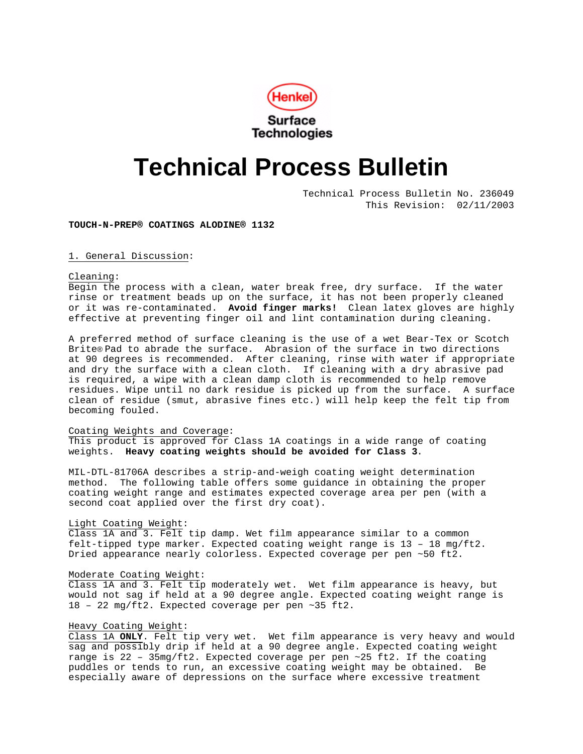

# **Technical Process Bulletin**

Technical Process Bulletin No. 236049 This Revision: 02/11/2003

**TOUCH-N-PREP® COATINGS ALODINE® 1132**

1. General Discussion:

Cleaning:

Begin the process with a clean, water break free, dry surface. If the water rinse or treatment beads up on the surface, it has not been properly cleaned or it was re-contaminated. **Avoid finger marks!** Clean latex gloves are highly effective at preventing finger oil and lint contamination during cleaning.

A preferred method of surface cleaning is the use of a wet Bear-Tex or Scotch Brite® Pad to abrade the surface. Abrasion of the surface in two directions at 90 degrees is recommended. After cleaning, rinse with water if appropriate and dry the surface with a clean cloth. If cleaning with a dry abrasive pad is required, a wipe with a clean damp cloth is recommended to help remove residues. Wipe until no dark residue is picked up from the surface. A surface clean of residue (smut, abrasive fines etc.) will help keep the felt tip from becoming fouled.

# Coating Weights and Coverage:

This product is approved for Class 1A coatings in a wide range of coating weights. **Heavy coating weights should be avoided for Class 3**.

MIL-DTL-81706A describes a strip-and-weigh coating weight determination method. The following table offers some guidance in obtaining the proper coating weight range and estimates expected coverage area per pen (with a second coat applied over the first dry coat).

#### Light Coating Weight:

Class 1A and 3. Felt tip damp. Wet film appearance similar to a common felt-tipped type marker. Expected coating weight range is 13 – 18 mg/ft2. Dried appearance nearly colorless. Expected coverage per pen ~50 ft2.

#### Moderate Coating Weight:

Class 1A and 3. Felt tip moderately wet. Wet film appearance is heavy, but would not sag if held at a 90 degree angle. Expected coating weight range is 18 – 22 mg/ft2. Expected coverage per pen ~35 ft2.

#### Heavy Coating Weight:

Class 1A **ONLY**. Felt tip very wet. Wet film appearance is very heavy and would sag and possibly drip if held at a 90 degree angle. Expected coating weight range is 22 – 35mg/ft2. Expected coverage per pen ~25 ft2. If the coating puddles or tends to run, an excessive coating weight may be obtained. Be especially aware of depressions on the surface where excessive treatment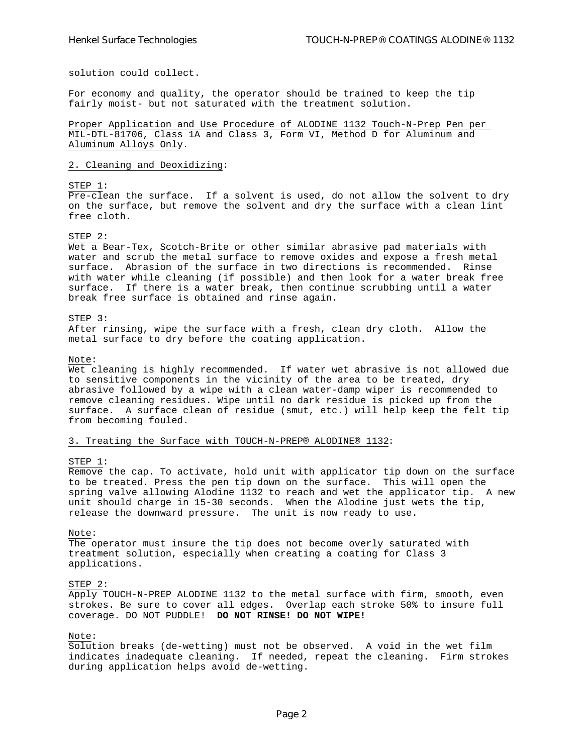solution could collect.

For economy and quality, the operator should be trained to keep the tip fairly moist- but not saturated with the treatment solution.

Proper Application and Use Procedure of ALODINE 1132 Touch-N-Prep Pen per MIL-DTL-81706, Class 1A and Class 3, Form VI, Method D for Aluminum and Aluminum Alloys Only.

#### 2. Cleaning and Deoxidizing:

#### STEP 1:

Pre-clean the surface. If a solvent is used, do not allow the solvent to dry on the surface, but remove the solvent and dry the surface with a clean lint free cloth.

#### STEP 2:

Wet a Bear-Tex, Scotch-Brite or other similar abrasive pad materials with water and scrub the metal surface to remove oxides and expose a fresh metal surface. Abrasion of the surface in two directions is recommended. Rinse with water while cleaning (if possible) and then look for a water break free surface. If there is a water break, then continue scrubbing until a water break free surface is obtained and rinse again.

#### STEP 3:

After rinsing, wipe the surface with a fresh, clean dry cloth. Allow the metal surface to dry before the coating application.

#### Note:

Wet cleaning is highly recommended. If water wet abrasive is not allowed due to sensitive components in the vicinity of the area to be treated, dry abrasive followed by a wipe with a clean water-damp wiper is recommended to remove cleaning residues. Wipe until no dark residue is picked up from the surface. A surface clean of residue (smut, etc.) will help keep the felt tip from becoming fouled.

# 3. Treating the Surface with TOUCH-N-PREP® ALODINE® 1132:

#### STEP 1:

Remove the cap. To activate, hold unit with applicator tip down on the surface to be treated. Press the pen tip down on the surface. This will open the spring valve allowing Alodine 1132 to reach and wet the applicator tip. A new unit should charge in 15-30 seconds. When the Alodine just wets the tip, release the downward pressure. The unit is now ready to use.

# Note:

The operator must insure the tip does not become overly saturated with treatment solution, especially when creating a coating for Class 3 applications.

#### STEP 2:

Apply TOUCH-N-PREP ALODINE 1132 to the metal surface with firm, smooth, even strokes. Be sure to cover all edges. Overlap each stroke 50% to insure full coverage. DO NOT PUDDLE! **DO NOT RINSE! DO NOT WIPE!**

Note:

Solution breaks (de-wetting) must not be observed. A void in the wet film indicates inadequate cleaning. If needed, repeat the cleaning. Firm strokes during application helps avoid de-wetting.